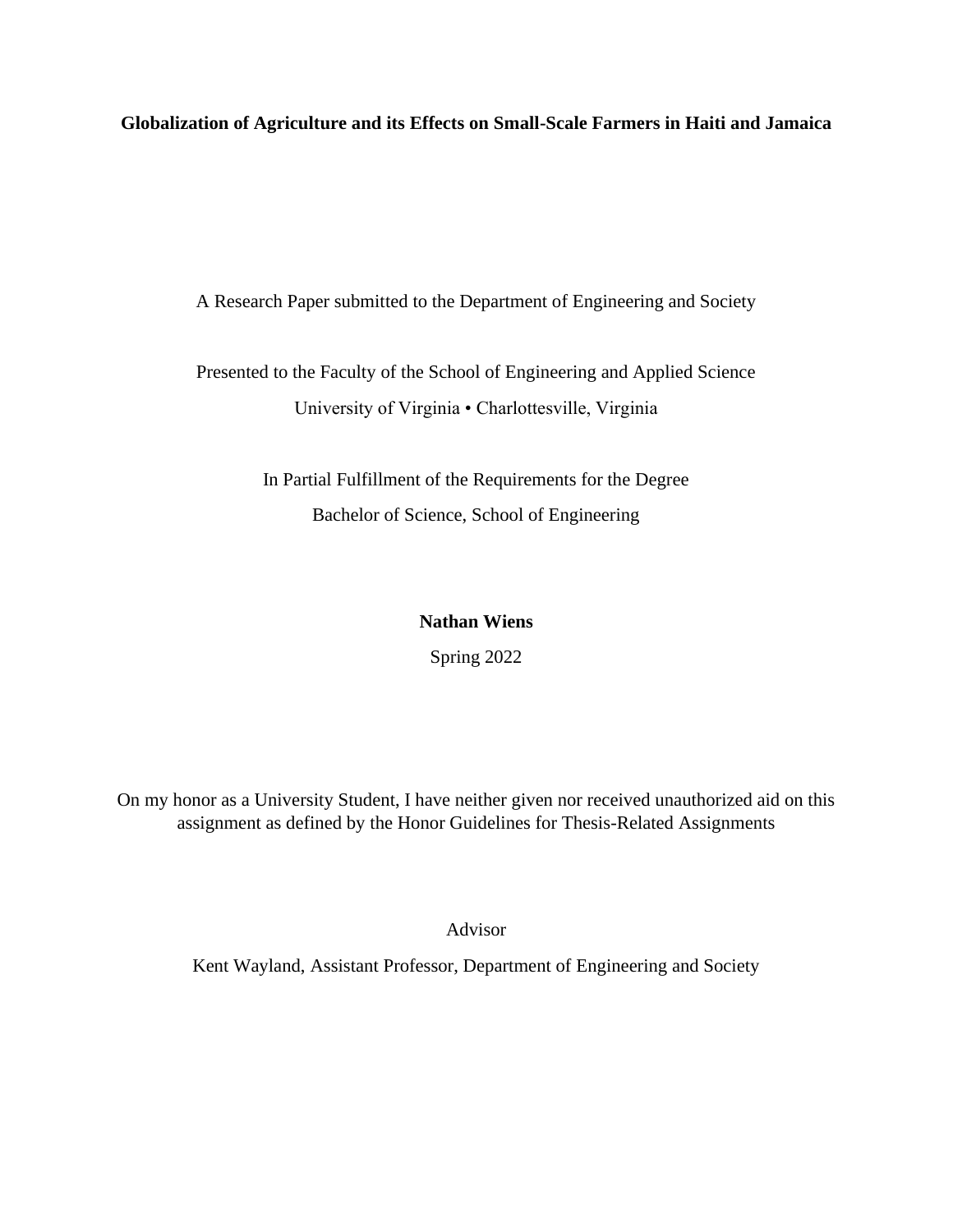**Globalization of Agriculture and its Effects on Small-Scale Farmers in Haiti and Jamaica**

A Research Paper submitted to the Department of Engineering and Society

Presented to the Faculty of the School of Engineering and Applied Science University of Virginia • Charlottesville, Virginia

> In Partial Fulfillment of the Requirements for the Degree Bachelor of Science, School of Engineering

# **Nathan Wiens**

Spring 2022

On my honor as a University Student, I have neither given nor received unauthorized aid on this assignment as defined by the Honor Guidelines for Thesis-Related Assignments

Advisor

Kent Wayland, Assistant Professor, Department of Engineering and Society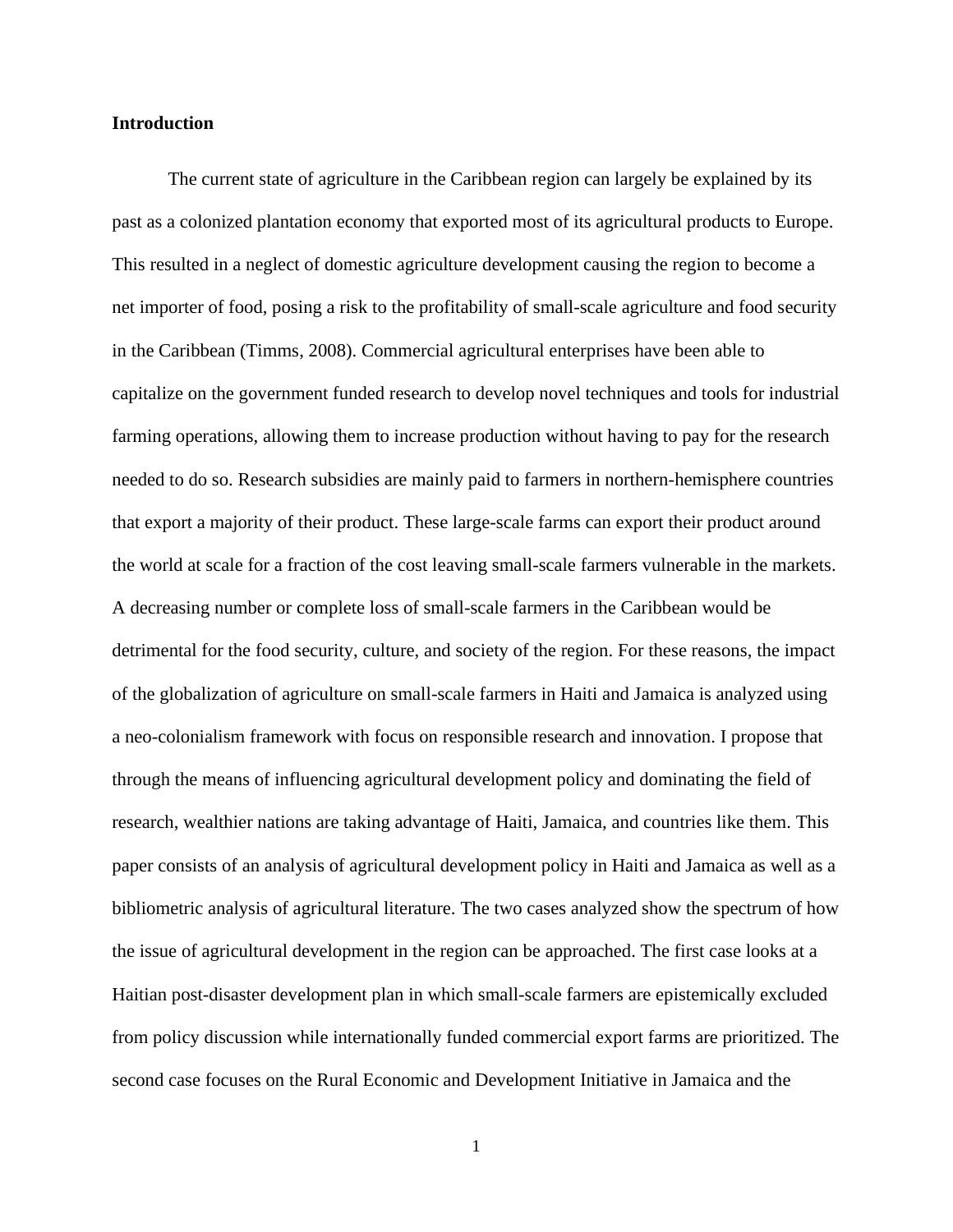### **Introduction**

The current state of agriculture in the Caribbean region can largely be explained by its past as a colonized plantation economy that exported most of its agricultural products to Europe. This resulted in a neglect of domestic agriculture development causing the region to become a net importer of food, posing a risk to the profitability of small-scale agriculture and food security in the Caribbean (Timms, 2008). Commercial agricultural enterprises have been able to capitalize on the government funded research to develop novel techniques and tools for industrial farming operations, allowing them to increase production without having to pay for the research needed to do so. Research subsidies are mainly paid to farmers in northern-hemisphere countries that export a majority of their product. These large-scale farms can export their product around the world at scale for a fraction of the cost leaving small-scale farmers vulnerable in the markets. A decreasing number or complete loss of small-scale farmers in the Caribbean would be detrimental for the food security, culture, and society of the region. For these reasons, the impact of the globalization of agriculture on small-scale farmers in Haiti and Jamaica is analyzed using a neo-colonialism framework with focus on responsible research and innovation. I propose that through the means of influencing agricultural development policy and dominating the field of research, wealthier nations are taking advantage of Haiti, Jamaica, and countries like them. This paper consists of an analysis of agricultural development policy in Haiti and Jamaica as well as a bibliometric analysis of agricultural literature. The two cases analyzed show the spectrum of how the issue of agricultural development in the region can be approached. The first case looks at a Haitian post-disaster development plan in which small-scale farmers are epistemically excluded from policy discussion while internationally funded commercial export farms are prioritized. The second case focuses on the Rural Economic and Development Initiative in Jamaica and the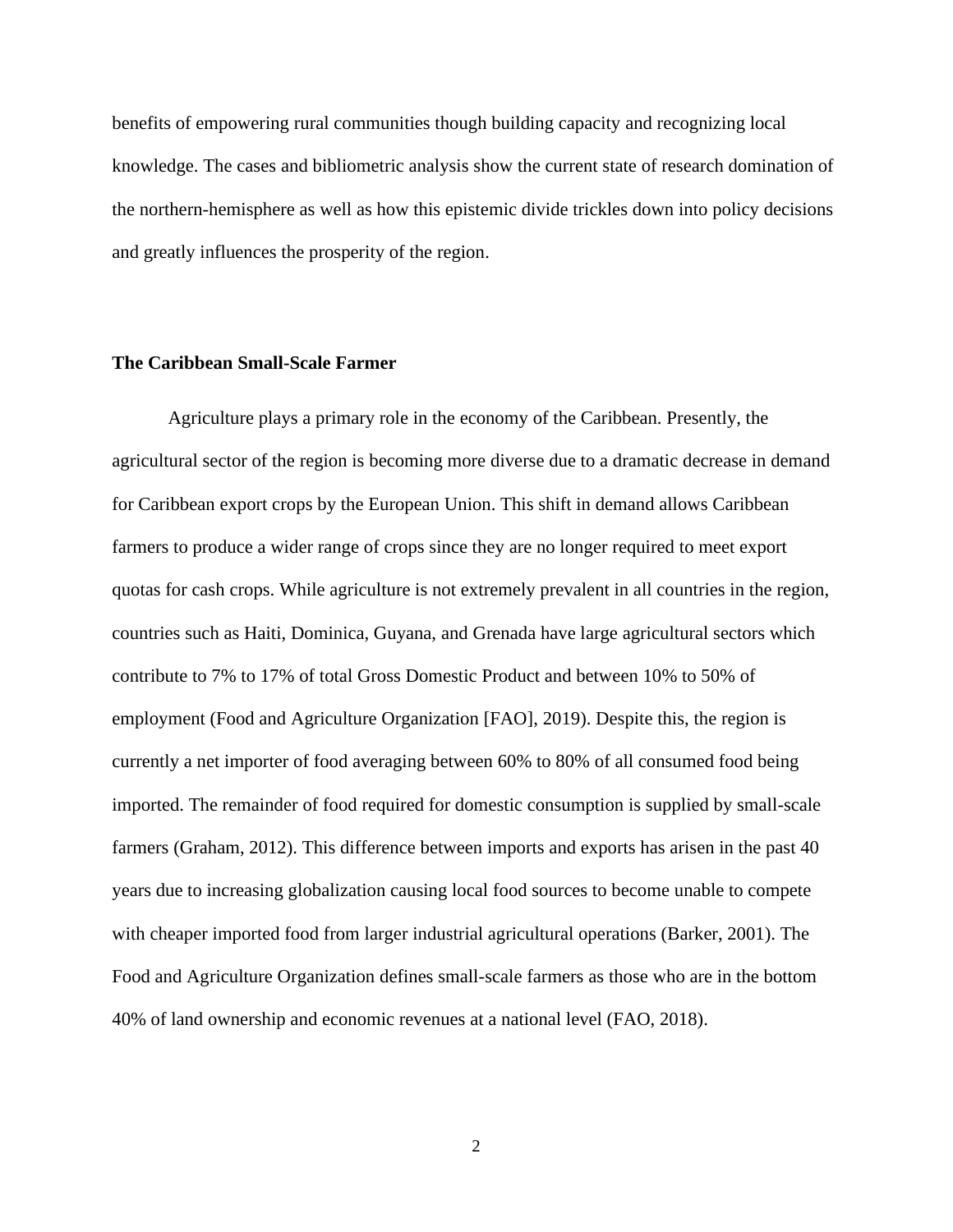benefits of empowering rural communities though building capacity and recognizing local knowledge. The cases and bibliometric analysis show the current state of research domination of the northern-hemisphere as well as how this epistemic divide trickles down into policy decisions and greatly influences the prosperity of the region.

### **The Caribbean Small-Scale Farmer**

Agriculture plays a primary role in the economy of the Caribbean. Presently, the agricultural sector of the region is becoming more diverse due to a dramatic decrease in demand for Caribbean export crops by the European Union. This shift in demand allows Caribbean farmers to produce a wider range of crops since they are no longer required to meet export quotas for cash crops. While agriculture is not extremely prevalent in all countries in the region, countries such as Haiti, Dominica, Guyana, and Grenada have large agricultural sectors which contribute to 7% to 17% of total Gross Domestic Product and between 10% to 50% of employment (Food and Agriculture Organization [FAO], 2019). Despite this, the region is currently a net importer of food averaging between 60% to 80% of all consumed food being imported. The remainder of food required for domestic consumption is supplied by small-scale farmers (Graham, 2012). This difference between imports and exports has arisen in the past 40 years due to increasing globalization causing local food sources to become unable to compete with cheaper imported food from larger industrial agricultural operations (Barker, 2001). The Food and Agriculture Organization defines small-scale farmers as those who are in the bottom 40% of land ownership and economic revenues at a national level (FAO, 2018).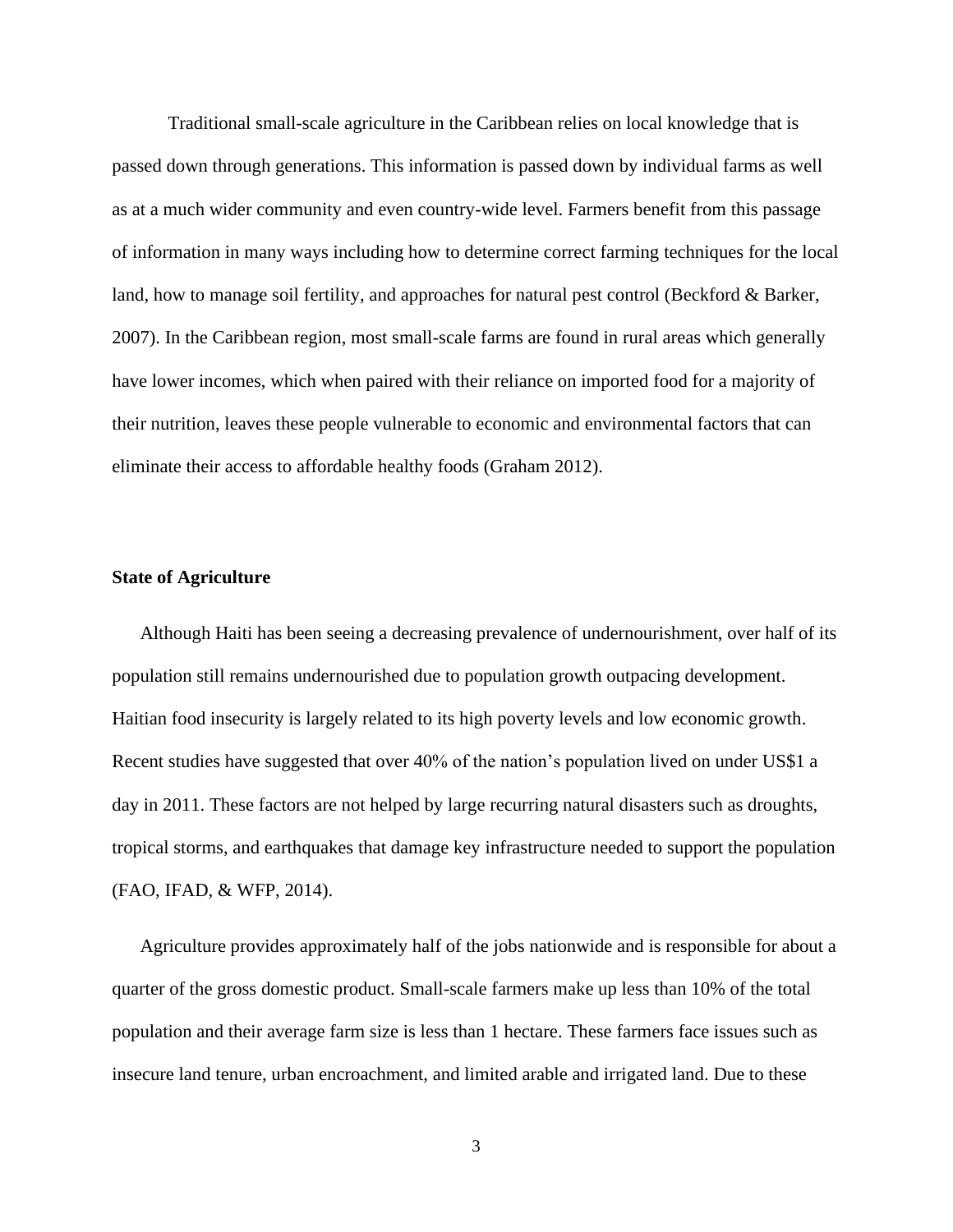Traditional small-scale agriculture in the Caribbean relies on local knowledge that is passed down through generations. This information is passed down by individual farms as well as at a much wider community and even country-wide level. Farmers benefit from this passage of information in many ways including how to determine correct farming techniques for the local land, how to manage soil fertility, and approaches for natural pest control (Beckford & Barker, 2007). In the Caribbean region, most small-scale farms are found in rural areas which generally have lower incomes, which when paired with their reliance on imported food for a majority of their nutrition, leaves these people vulnerable to economic and environmental factors that can eliminate their access to affordable healthy foods (Graham 2012).

# **State of Agriculture**

Although Haiti has been seeing a decreasing prevalence of undernourishment, over half of its population still remains undernourished due to population growth outpacing development. Haitian food insecurity is largely related to its high poverty levels and low economic growth. Recent studies have suggested that over 40% of the nation's population lived on under US\$1 a day in 2011. These factors are not helped by large recurring natural disasters such as droughts, tropical storms, and earthquakes that damage key infrastructure needed to support the population (FAO, IFAD, & WFP, 2014).

Agriculture provides approximately half of the jobs nationwide and is responsible for about a quarter of the gross domestic product. Small-scale farmers make up less than 10% of the total population and their average farm size is less than 1 hectare. These farmers face issues such as insecure land tenure, urban encroachment, and limited arable and irrigated land. Due to these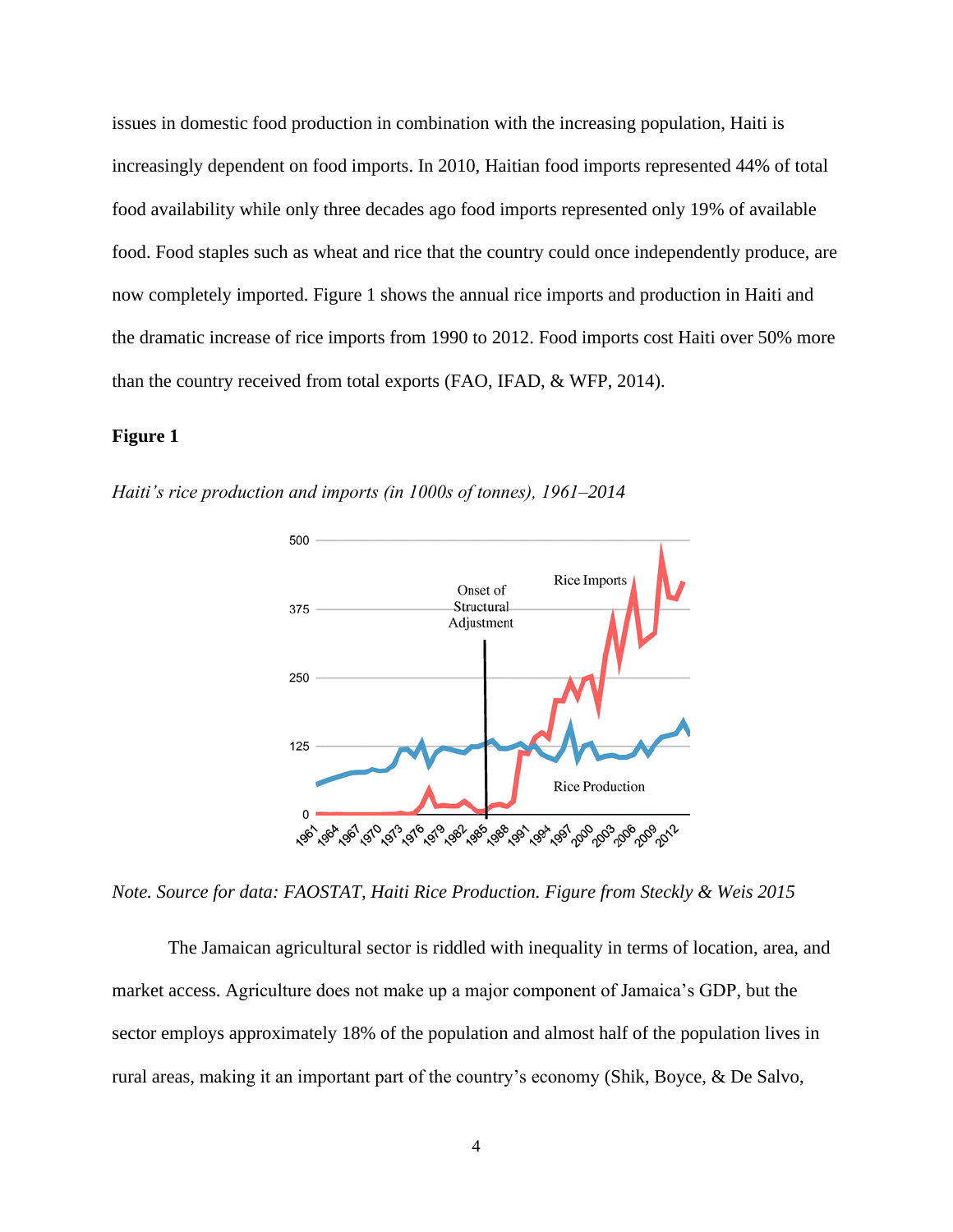issues in domestic food production in combination with the increasing population, Haiti is increasingly dependent on food imports. In 2010, Haitian food imports represented 44% of total food availability while only three decades ago food imports represented only 19% of available food. Food staples such as wheat and rice that the country could once independently produce, are now completely imported. Figure 1 shows the annual rice imports and production in Haiti and the dramatic increase of rice imports from 1990 to 2012. Food imports cost Haiti over 50% more than the country received from total exports (FAO, IFAD, & WFP, 2014).

# **Figure 1**

*Haiti's rice production and imports (in 1000s of tonnes), 1961–2014*



*Note. Source for data: FAOSTAT, Haiti Rice Production. Figure from Steckly & Weis 2015*

The Jamaican agricultural sector is riddled with inequality in terms of location, area, and market access. Agriculture does not make up a major component of Jamaica's GDP, but the sector employs approximately 18% of the population and almost half of the population lives in rural areas, making it an important part of the country's economy (Shik, Boyce, & De Salvo,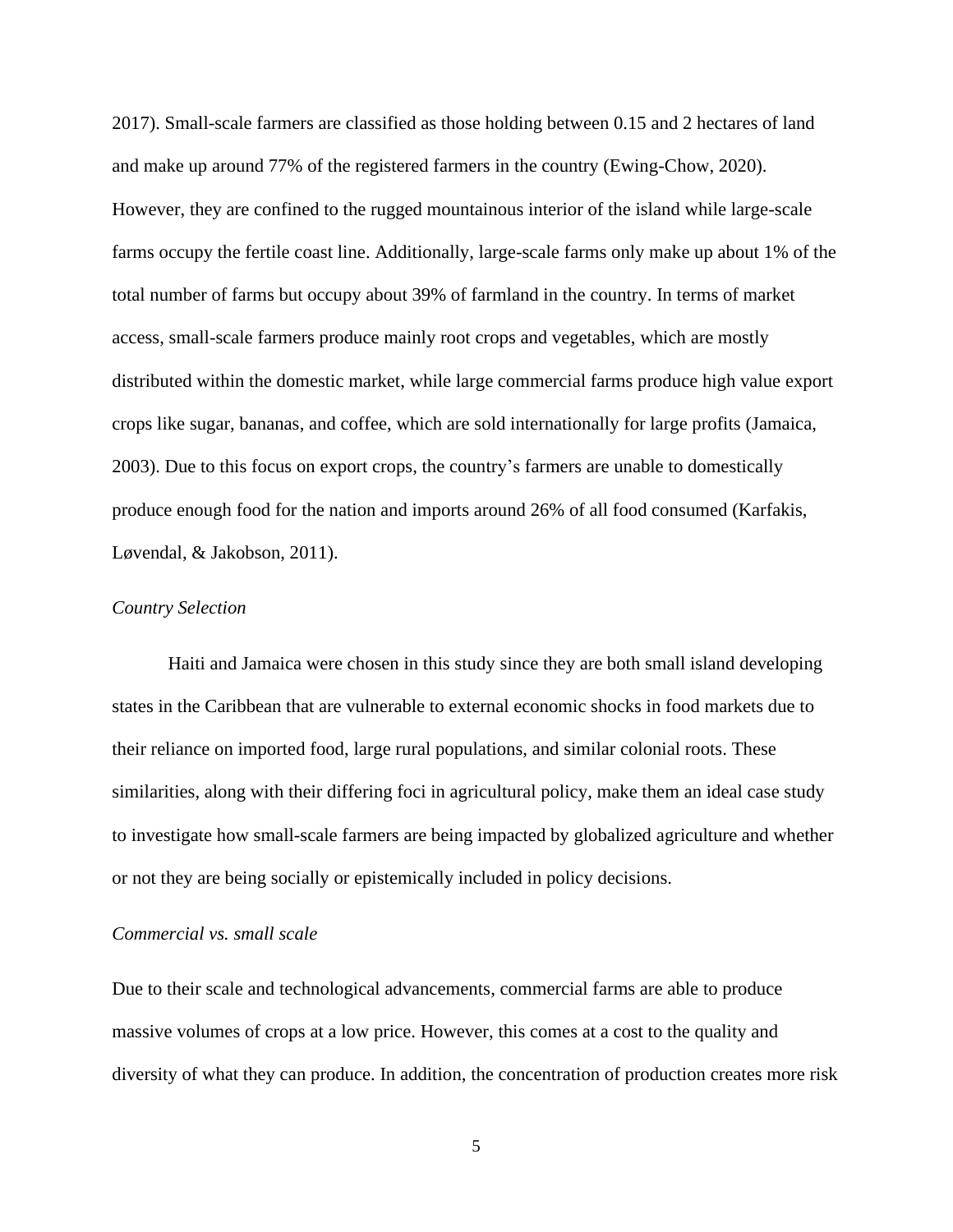2017). Small-scale farmers are classified as those holding between 0.15 and 2 hectares of land and make up around 77% of the registered farmers in the country (Ewing-Chow, 2020). However, they are confined to the rugged mountainous interior of the island while large-scale farms occupy the fertile coast line. Additionally, large-scale farms only make up about 1% of the total number of farms but occupy about 39% of farmland in the country. In terms of market access, small-scale farmers produce mainly root crops and vegetables, which are mostly distributed within the domestic market, while large commercial farms produce high value export crops like sugar, bananas, and coffee, which are sold internationally for large profits (Jamaica, 2003). Due to this focus on export crops, the country's farmers are unable to domestically produce enough food for the nation and imports around 26% of all food consumed (Karfakis, Løvendal, & Jakobson, 2011).

#### *Country Selection*

Haiti and Jamaica were chosen in this study since they are both small island developing states in the Caribbean that are vulnerable to external economic shocks in food markets due to their reliance on imported food, large rural populations, and similar colonial roots. These similarities, along with their differing foci in agricultural policy, make them an ideal case study to investigate how small-scale farmers are being impacted by globalized agriculture and whether or not they are being socially or epistemically included in policy decisions.

# *Commercial vs. small scale*

Due to their scale and technological advancements, commercial farms are able to produce massive volumes of crops at a low price. However, this comes at a cost to the quality and diversity of what they can produce. In addition, the concentration of production creates more risk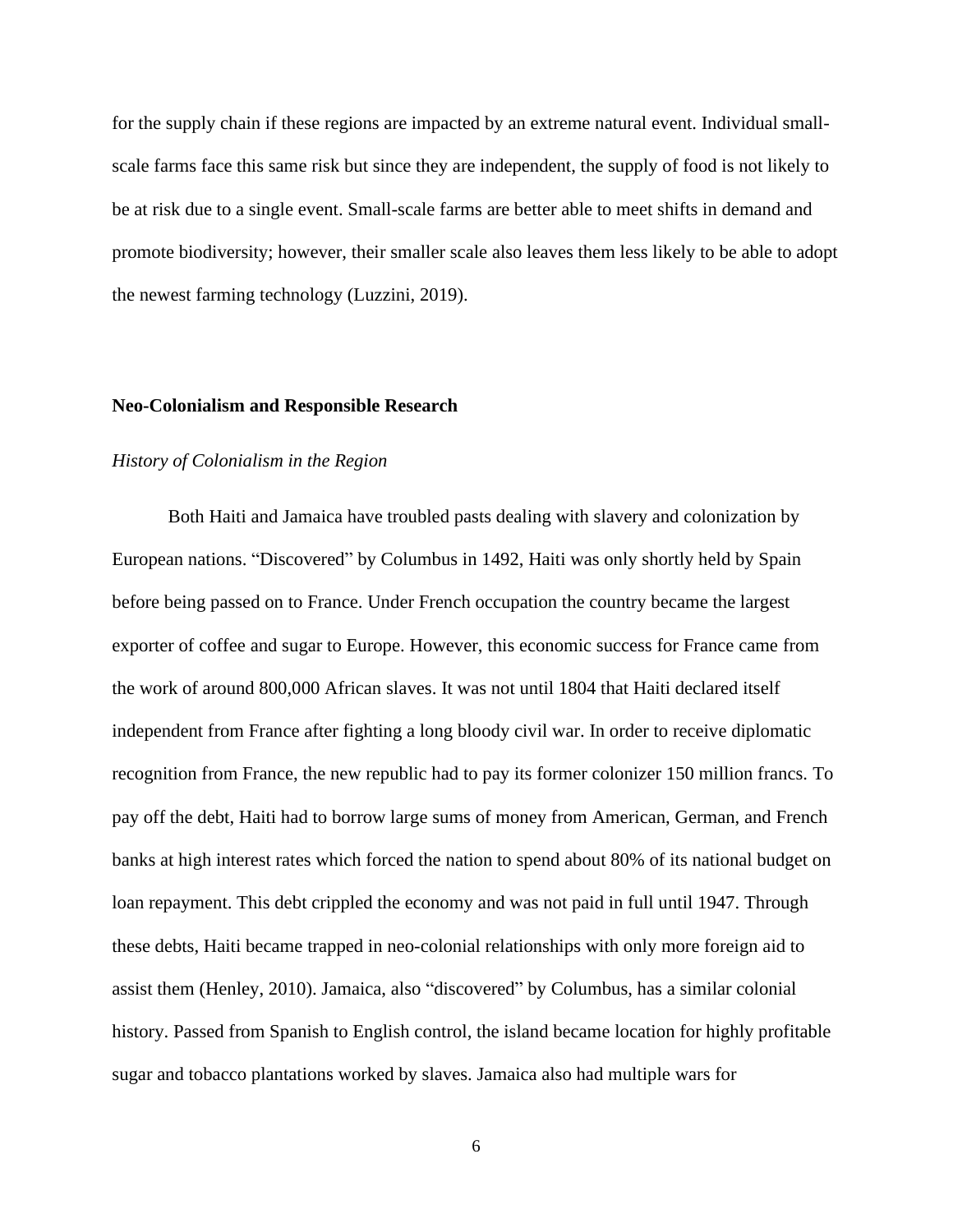for the supply chain if these regions are impacted by an extreme natural event. Individual smallscale farms face this same risk but since they are independent, the supply of food is not likely to be at risk due to a single event. Small-scale farms are better able to meet shifts in demand and promote biodiversity; however, their smaller scale also leaves them less likely to be able to adopt the newest farming technology (Luzzini, 2019).

# **Neo-Colonialism and Responsible Research**

# *History of Colonialism in the Region*

Both Haiti and Jamaica have troubled pasts dealing with slavery and colonization by European nations. "Discovered" by Columbus in 1492, Haiti was only shortly held by Spain before being passed on to France. Under French occupation the country became the largest exporter of coffee and sugar to Europe. However, this economic success for France came from the work of around 800,000 African slaves. It was not until 1804 that Haiti declared itself independent from France after fighting a long bloody civil war. In order to receive diplomatic recognition from France, the new republic had to pay its former colonizer 150 million francs. To pay off the debt, Haiti had to borrow large sums of money from American, German, and French banks at high interest rates which forced the nation to spend about 80% of its national budget on loan repayment. This debt crippled the economy and was not paid in full until 1947. Through these debts, Haiti became trapped in neo-colonial relationships with only more foreign aid to assist them (Henley, 2010). Jamaica, also "discovered" by Columbus, has a similar colonial history. Passed from Spanish to English control, the island became location for highly profitable sugar and tobacco plantations worked by slaves. Jamaica also had multiple wars for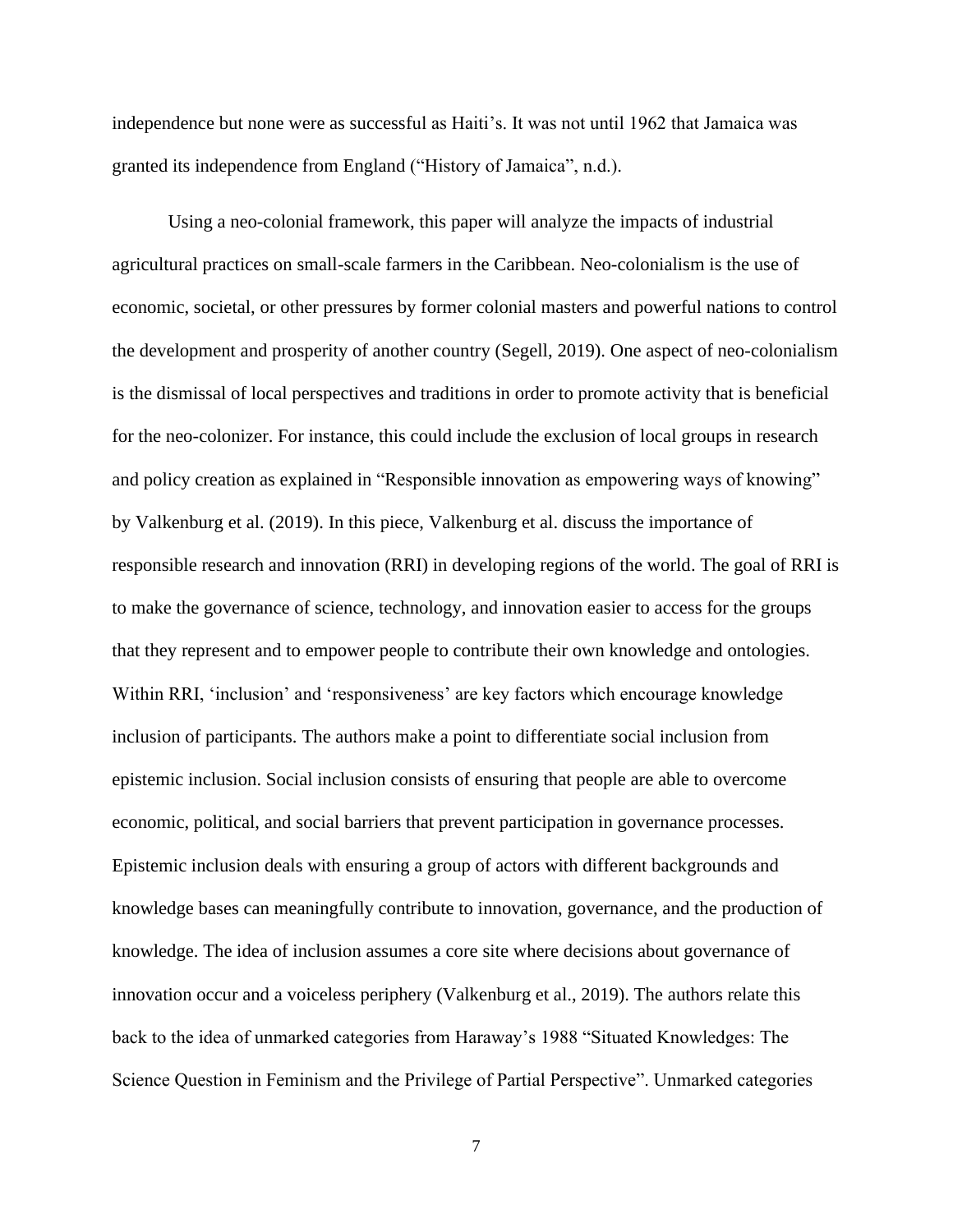independence but none were as successful as Haiti's. It was not until 1962 that Jamaica was granted its independence from England ("History of Jamaica", n.d.).

Using a neo-colonial framework, this paper will analyze the impacts of industrial agricultural practices on small-scale farmers in the Caribbean. Neo-colonialism is the use of economic, societal, or other pressures by former colonial masters and powerful nations to control the development and prosperity of another country (Segell, 2019). One aspect of neo-colonialism is the dismissal of local perspectives and traditions in order to promote activity that is beneficial for the neo-colonizer. For instance, this could include the exclusion of local groups in research and policy creation as explained in "Responsible innovation as empowering ways of knowing" by Valkenburg et al. (2019). In this piece, Valkenburg et al. discuss the importance of responsible research and innovation (RRI) in developing regions of the world. The goal of RRI is to make the governance of science, technology, and innovation easier to access for the groups that they represent and to empower people to contribute their own knowledge and ontologies. Within RRI, 'inclusion' and 'responsiveness' are key factors which encourage knowledge inclusion of participants. The authors make a point to differentiate social inclusion from epistemic inclusion. Social inclusion consists of ensuring that people are able to overcome economic, political, and social barriers that prevent participation in governance processes. Epistemic inclusion deals with ensuring a group of actors with different backgrounds and knowledge bases can meaningfully contribute to innovation, governance, and the production of knowledge. The idea of inclusion assumes a core site where decisions about governance of innovation occur and a voiceless periphery (Valkenburg et al., 2019). The authors relate this back to the idea of unmarked categories from Haraway's 1988 "Situated Knowledges: The Science Question in Feminism and the Privilege of Partial Perspective". Unmarked categories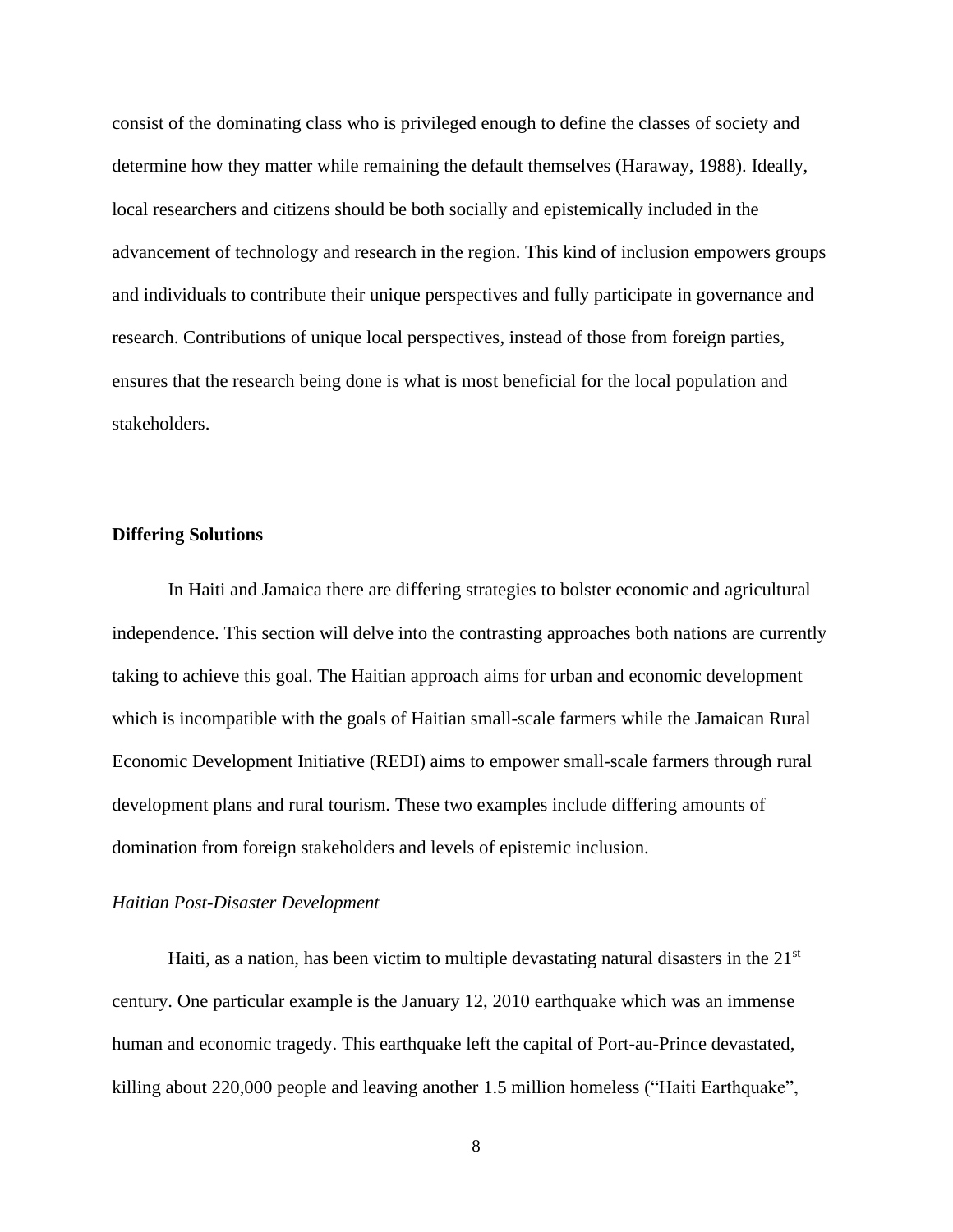consist of the dominating class who is privileged enough to define the classes of society and determine how they matter while remaining the default themselves (Haraway, 1988). Ideally, local researchers and citizens should be both socially and epistemically included in the advancement of technology and research in the region. This kind of inclusion empowers groups and individuals to contribute their unique perspectives and fully participate in governance and research. Contributions of unique local perspectives, instead of those from foreign parties, ensures that the research being done is what is most beneficial for the local population and stakeholders.

### **Differing Solutions**

In Haiti and Jamaica there are differing strategies to bolster economic and agricultural independence. This section will delve into the contrasting approaches both nations are currently taking to achieve this goal. The Haitian approach aims for urban and economic development which is incompatible with the goals of Haitian small-scale farmers while the Jamaican Rural Economic Development Initiative (REDI) aims to empower small-scale farmers through rural development plans and rural tourism. These two examples include differing amounts of domination from foreign stakeholders and levels of epistemic inclusion.

### *Haitian Post-Disaster Development*

Haiti, as a nation, has been victim to multiple devastating natural disasters in the  $21<sup>st</sup>$ century. One particular example is the January 12, 2010 earthquake which was an immense human and economic tragedy. This earthquake left the capital of Port-au-Prince devastated, killing about 220,000 people and leaving another 1.5 million homeless ("Haiti Earthquake",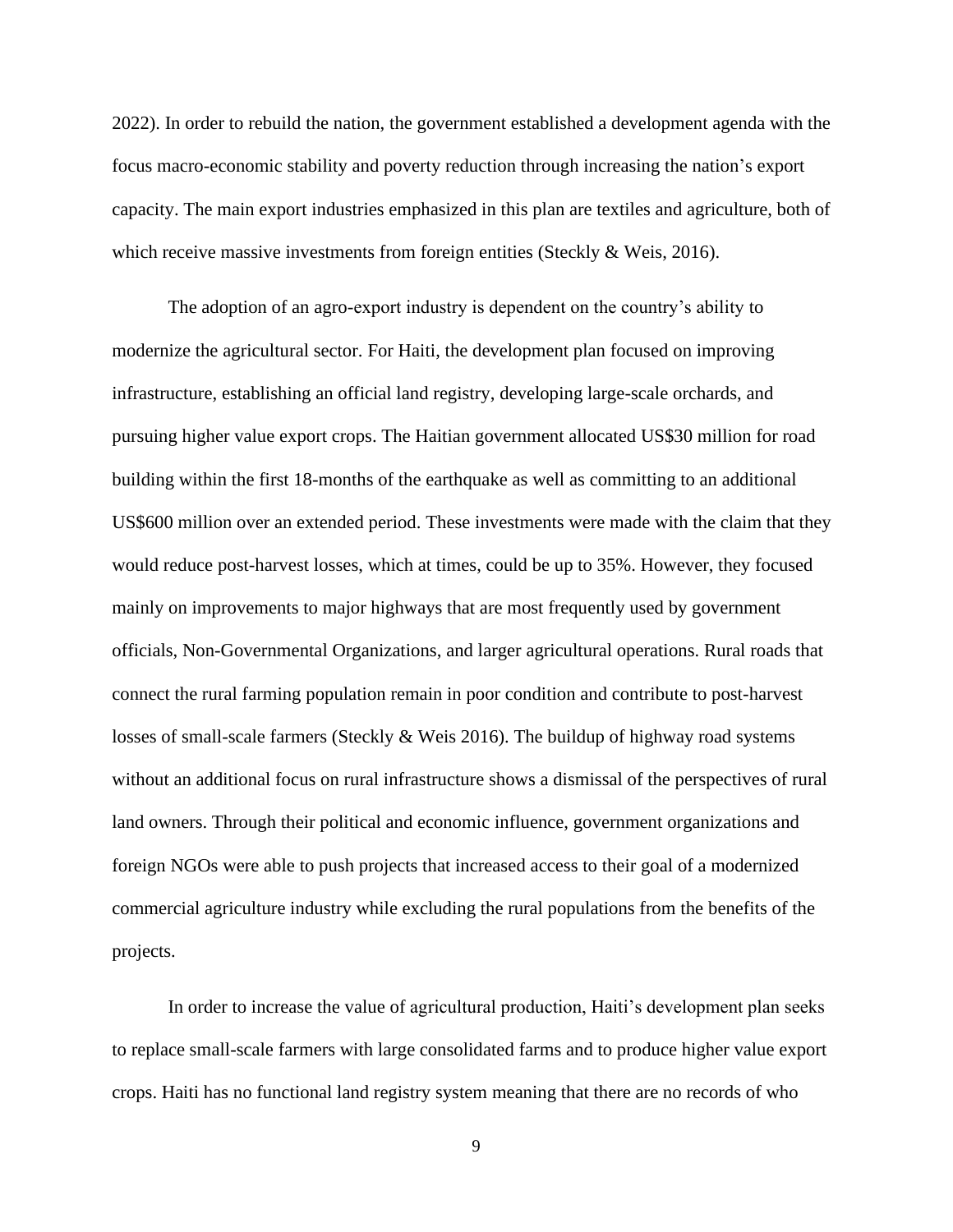2022). In order to rebuild the nation, the government established a development agenda with the focus macro-economic stability and poverty reduction through increasing the nation's export capacity. The main export industries emphasized in this plan are textiles and agriculture, both of which receive massive investments from foreign entities (Steckly & Weis, 2016).

The adoption of an agro-export industry is dependent on the country's ability to modernize the agricultural sector. For Haiti, the development plan focused on improving infrastructure, establishing an official land registry, developing large-scale orchards, and pursuing higher value export crops. The Haitian government allocated US\$30 million for road building within the first 18-months of the earthquake as well as committing to an additional US\$600 million over an extended period. These investments were made with the claim that they would reduce post-harvest losses, which at times, could be up to 35%. However, they focused mainly on improvements to major highways that are most frequently used by government officials, Non-Governmental Organizations, and larger agricultural operations. Rural roads that connect the rural farming population remain in poor condition and contribute to post-harvest losses of small-scale farmers (Steckly & Weis 2016). The buildup of highway road systems without an additional focus on rural infrastructure shows a dismissal of the perspectives of rural land owners. Through their political and economic influence, government organizations and foreign NGOs were able to push projects that increased access to their goal of a modernized commercial agriculture industry while excluding the rural populations from the benefits of the projects.

In order to increase the value of agricultural production, Haiti's development plan seeks to replace small-scale farmers with large consolidated farms and to produce higher value export crops. Haiti has no functional land registry system meaning that there are no records of who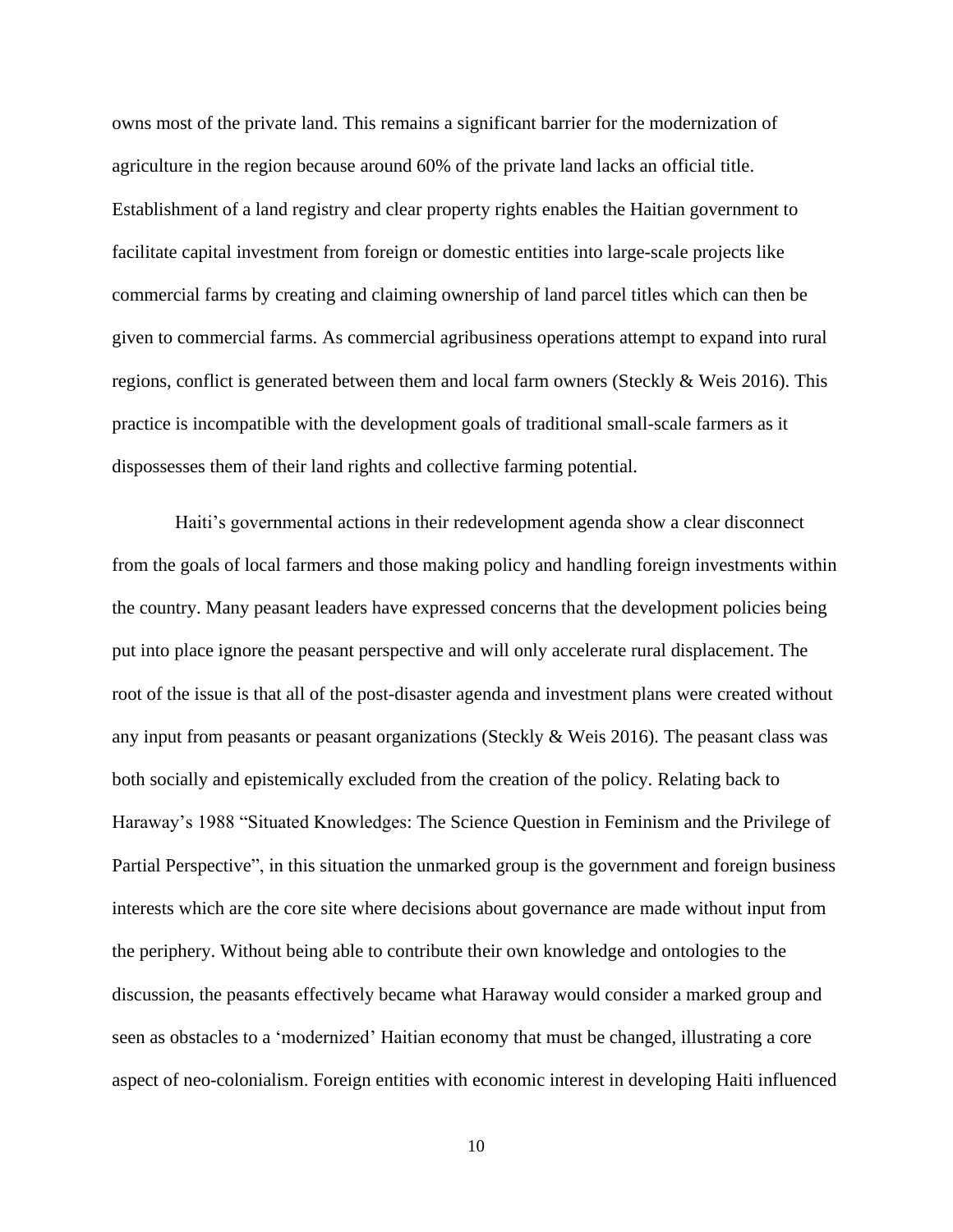owns most of the private land. This remains a significant barrier for the modernization of agriculture in the region because around 60% of the private land lacks an official title. Establishment of a land registry and clear property rights enables the Haitian government to facilitate capital investment from foreign or domestic entities into large-scale projects like commercial farms by creating and claiming ownership of land parcel titles which can then be given to commercial farms. As commercial agribusiness operations attempt to expand into rural regions, conflict is generated between them and local farm owners (Steckly  $\&$  Weis 2016). This practice is incompatible with the development goals of traditional small-scale farmers as it dispossesses them of their land rights and collective farming potential.

Haiti's governmental actions in their redevelopment agenda show a clear disconnect from the goals of local farmers and those making policy and handling foreign investments within the country. Many peasant leaders have expressed concerns that the development policies being put into place ignore the peasant perspective and will only accelerate rural displacement. The root of the issue is that all of the post-disaster agenda and investment plans were created without any input from peasants or peasant organizations (Steckly  $\&$  Weis 2016). The peasant class was both socially and epistemically excluded from the creation of the policy. Relating back to Haraway's 1988 "Situated Knowledges: The Science Question in Feminism and the Privilege of Partial Perspective", in this situation the unmarked group is the government and foreign business interests which are the core site where decisions about governance are made without input from the periphery. Without being able to contribute their own knowledge and ontologies to the discussion, the peasants effectively became what Haraway would consider a marked group and seen as obstacles to a 'modernized' Haitian economy that must be changed, illustrating a core aspect of neo-colonialism. Foreign entities with economic interest in developing Haiti influenced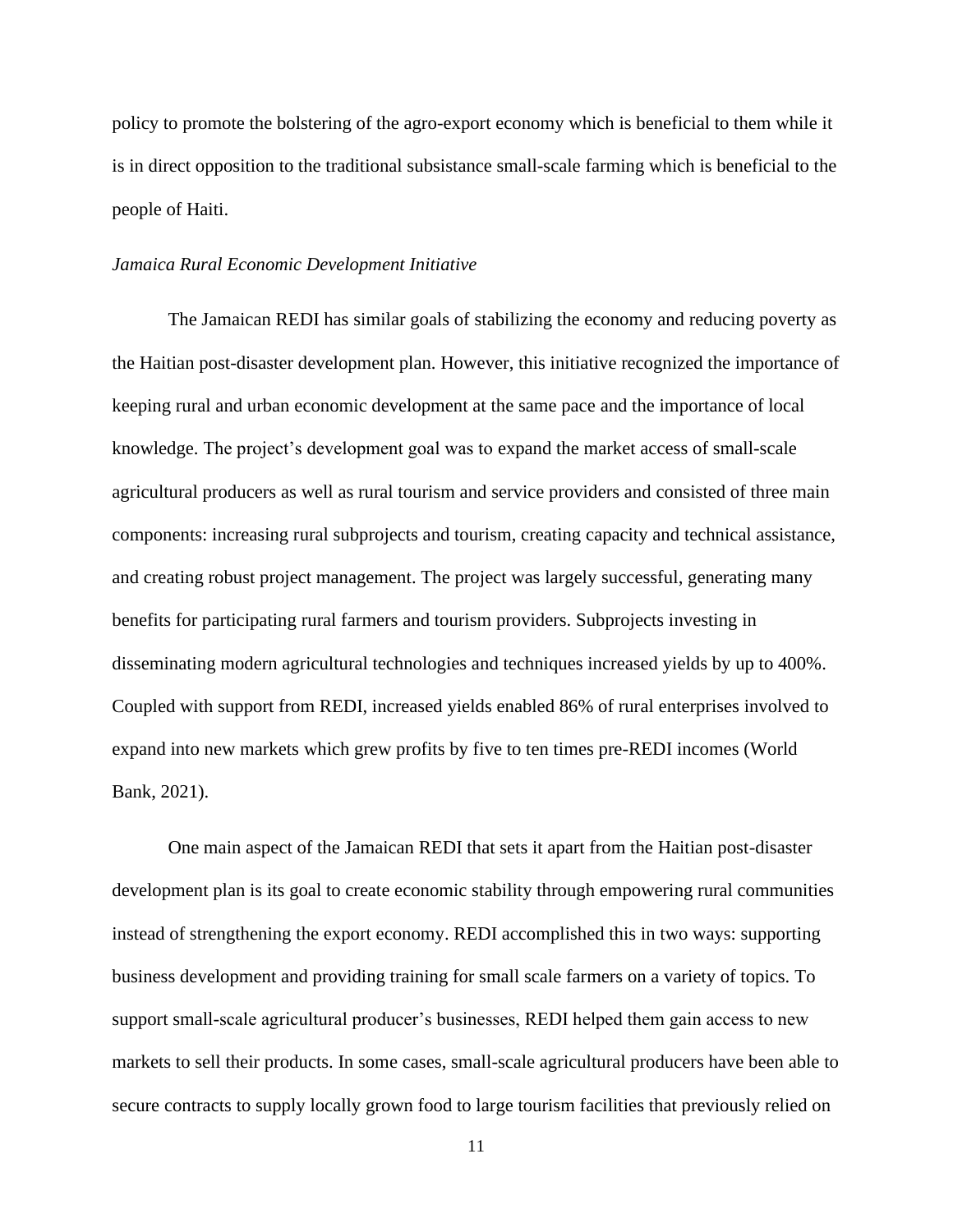policy to promote the bolstering of the agro-export economy which is beneficial to them while it is in direct opposition to the traditional subsistance small-scale farming which is beneficial to the people of Haiti.

#### *Jamaica Rural Economic Development Initiative*

The Jamaican REDI has similar goals of stabilizing the economy and reducing poverty as the Haitian post-disaster development plan. However, this initiative recognized the importance of keeping rural and urban economic development at the same pace and the importance of local knowledge. The project's development goal was to expand the market access of small-scale agricultural producers as well as rural tourism and service providers and consisted of three main components: increasing rural subprojects and tourism, creating capacity and technical assistance, and creating robust project management. The project was largely successful, generating many benefits for participating rural farmers and tourism providers. Subprojects investing in disseminating modern agricultural technologies and techniques increased yields by up to 400%. Coupled with support from REDI, increased yields enabled 86% of rural enterprises involved to expand into new markets which grew profits by five to ten times pre-REDI incomes (World Bank, 2021).

One main aspect of the Jamaican REDI that sets it apart from the Haitian post-disaster development plan is its goal to create economic stability through empowering rural communities instead of strengthening the export economy. REDI accomplished this in two ways: supporting business development and providing training for small scale farmers on a variety of topics. To support small-scale agricultural producer's businesses, REDI helped them gain access to new markets to sell their products. In some cases, small-scale agricultural producers have been able to secure contracts to supply locally grown food to large tourism facilities that previously relied on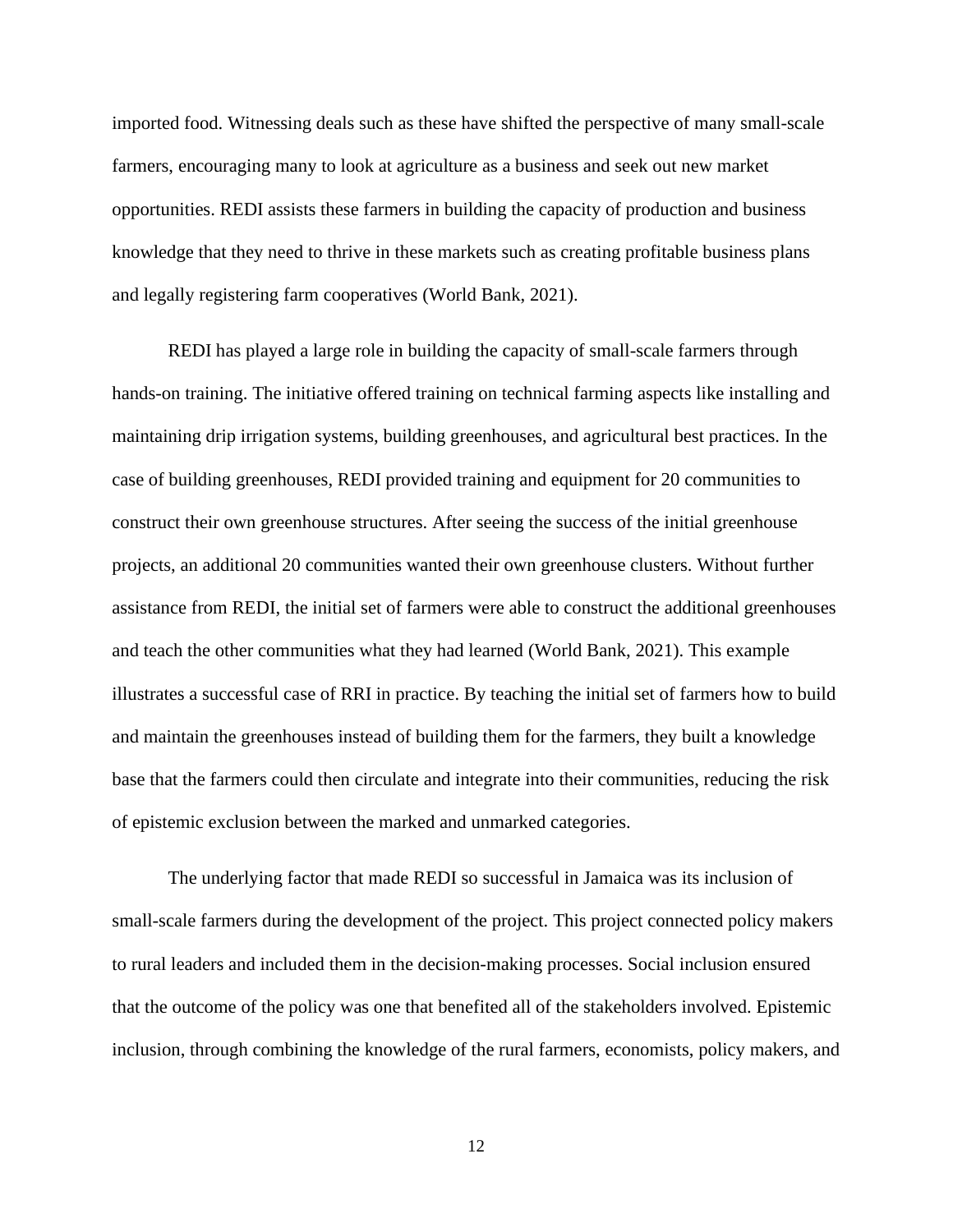imported food. Witnessing deals such as these have shifted the perspective of many small-scale farmers, encouraging many to look at agriculture as a business and seek out new market opportunities. REDI assists these farmers in building the capacity of production and business knowledge that they need to thrive in these markets such as creating profitable business plans and legally registering farm cooperatives (World Bank, 2021).

REDI has played a large role in building the capacity of small-scale farmers through hands-on training. The initiative offered training on technical farming aspects like installing and maintaining drip irrigation systems, building greenhouses, and agricultural best practices. In the case of building greenhouses, REDI provided training and equipment for 20 communities to construct their own greenhouse structures. After seeing the success of the initial greenhouse projects, an additional 20 communities wanted their own greenhouse clusters. Without further assistance from REDI, the initial set of farmers were able to construct the additional greenhouses and teach the other communities what they had learned (World Bank, 2021). This example illustrates a successful case of RRI in practice. By teaching the initial set of farmers how to build and maintain the greenhouses instead of building them for the farmers, they built a knowledge base that the farmers could then circulate and integrate into their communities, reducing the risk of epistemic exclusion between the marked and unmarked categories.

The underlying factor that made REDI so successful in Jamaica was its inclusion of small-scale farmers during the development of the project. This project connected policy makers to rural leaders and included them in the decision-making processes. Social inclusion ensured that the outcome of the policy was one that benefited all of the stakeholders involved. Epistemic inclusion, through combining the knowledge of the rural farmers, economists, policy makers, and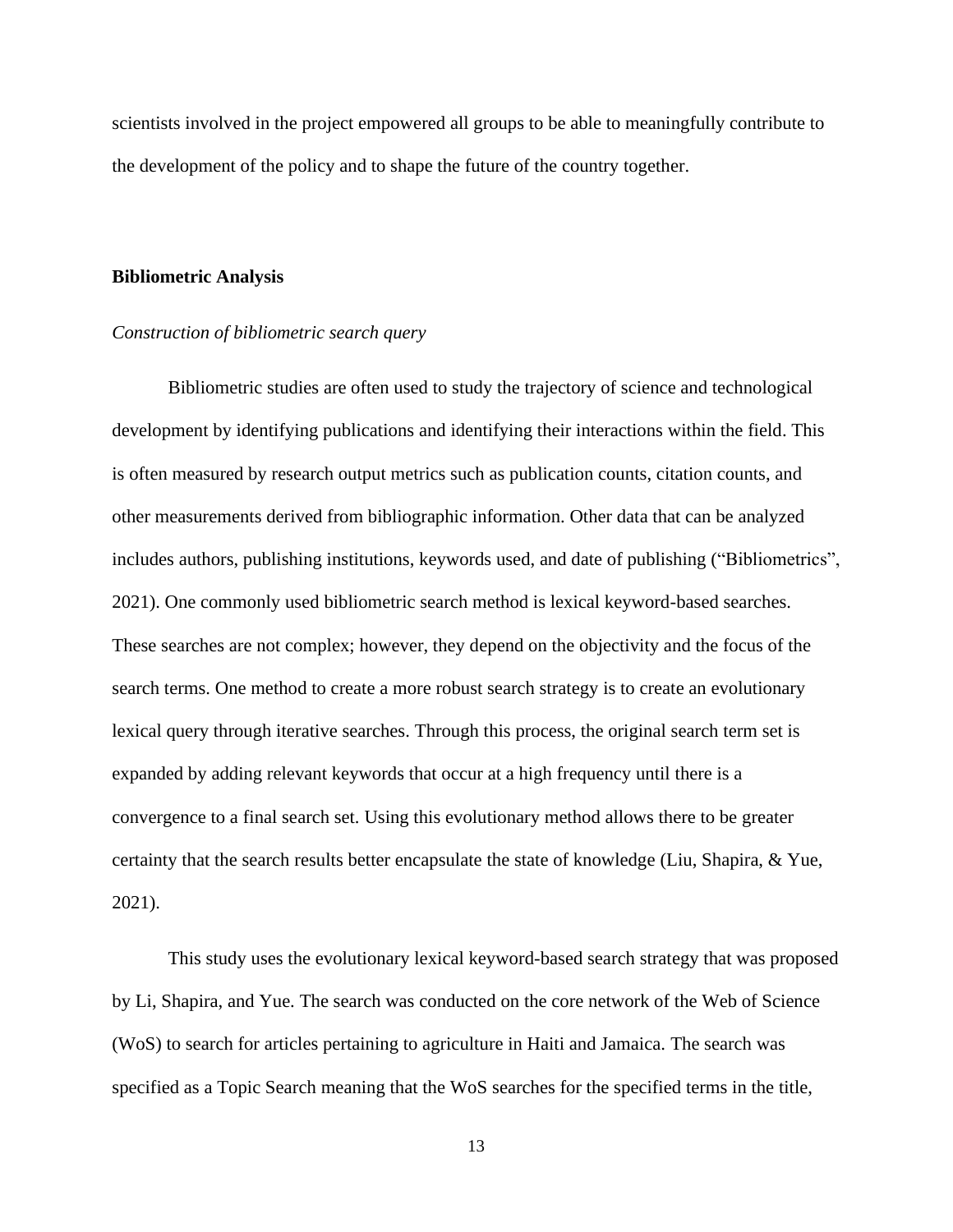scientists involved in the project empowered all groups to be able to meaningfully contribute to the development of the policy and to shape the future of the country together.

#### **Bibliometric Analysis**

### *Construction of bibliometric search query*

Bibliometric studies are often used to study the trajectory of science and technological development by identifying publications and identifying their interactions within the field. This is often measured by research output metrics such as publication counts, citation counts, and other measurements derived from bibliographic information. Other data that can be analyzed includes authors, publishing institutions, keywords used, and date of publishing ("Bibliometrics", 2021). One commonly used bibliometric search method is lexical keyword-based searches. These searches are not complex; however, they depend on the objectivity and the focus of the search terms. One method to create a more robust search strategy is to create an evolutionary lexical query through iterative searches. Through this process, the original search term set is expanded by adding relevant keywords that occur at a high frequency until there is a convergence to a final search set. Using this evolutionary method allows there to be greater certainty that the search results better encapsulate the state of knowledge (Liu, Shapira, & Yue, 2021).

This study uses the evolutionary lexical keyword-based search strategy that was proposed by Li, Shapira, and Yue. The search was conducted on the core network of the Web of Science (WoS) to search for articles pertaining to agriculture in Haiti and Jamaica. The search was specified as a Topic Search meaning that the WoS searches for the specified terms in the title,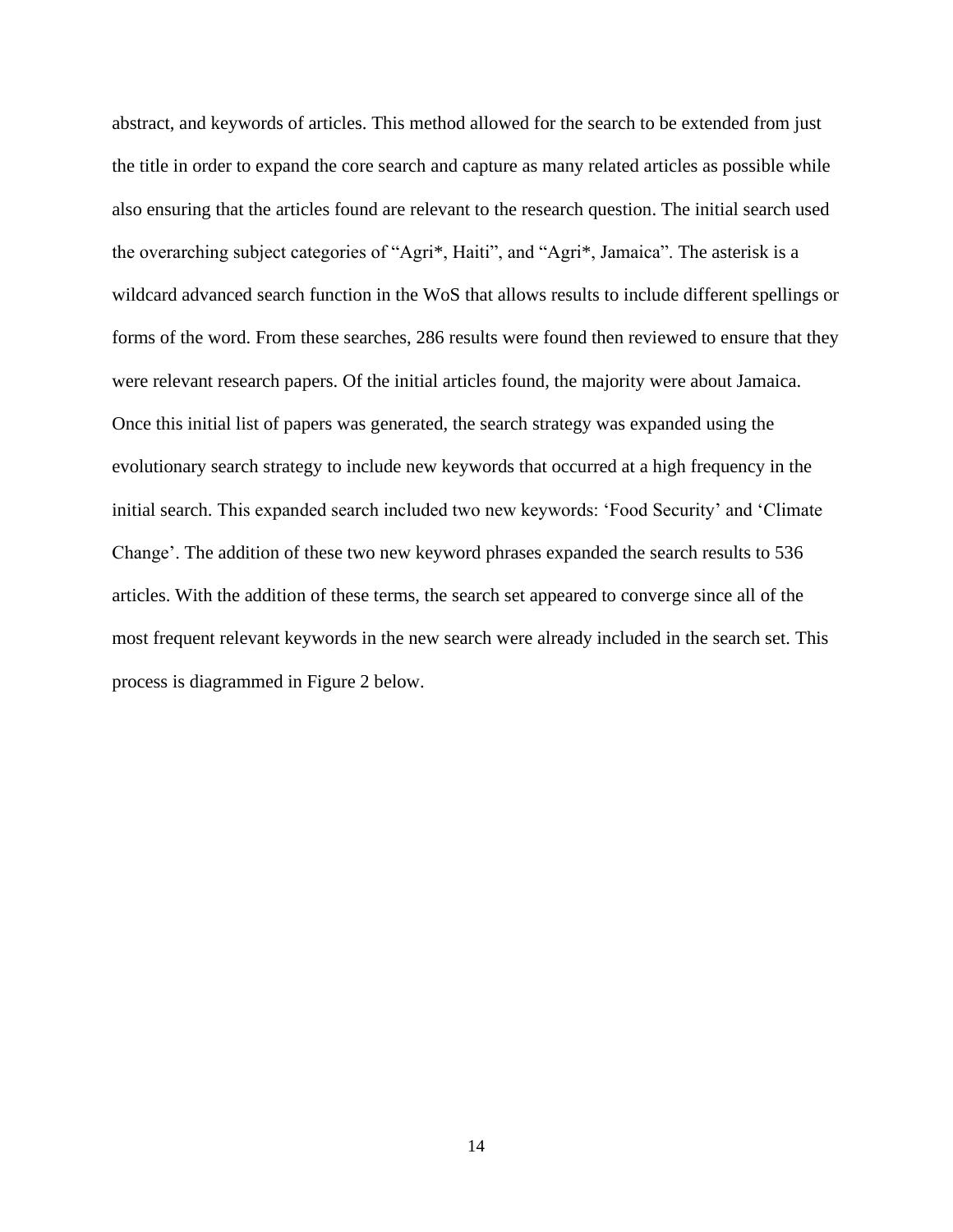abstract, and keywords of articles. This method allowed for the search to be extended from just the title in order to expand the core search and capture as many related articles as possible while also ensuring that the articles found are relevant to the research question. The initial search used the overarching subject categories of "Agri\*, Haiti", and "Agri\*, Jamaica". The asterisk is a wildcard advanced search function in the WoS that allows results to include different spellings or forms of the word. From these searches, 286 results were found then reviewed to ensure that they were relevant research papers. Of the initial articles found, the majority were about Jamaica. Once this initial list of papers was generated, the search strategy was expanded using the evolutionary search strategy to include new keywords that occurred at a high frequency in the initial search. This expanded search included two new keywords: 'Food Security' and 'Climate Change'. The addition of these two new keyword phrases expanded the search results to 536 articles. With the addition of these terms, the search set appeared to converge since all of the most frequent relevant keywords in the new search were already included in the search set. This process is diagrammed in Figure 2 below.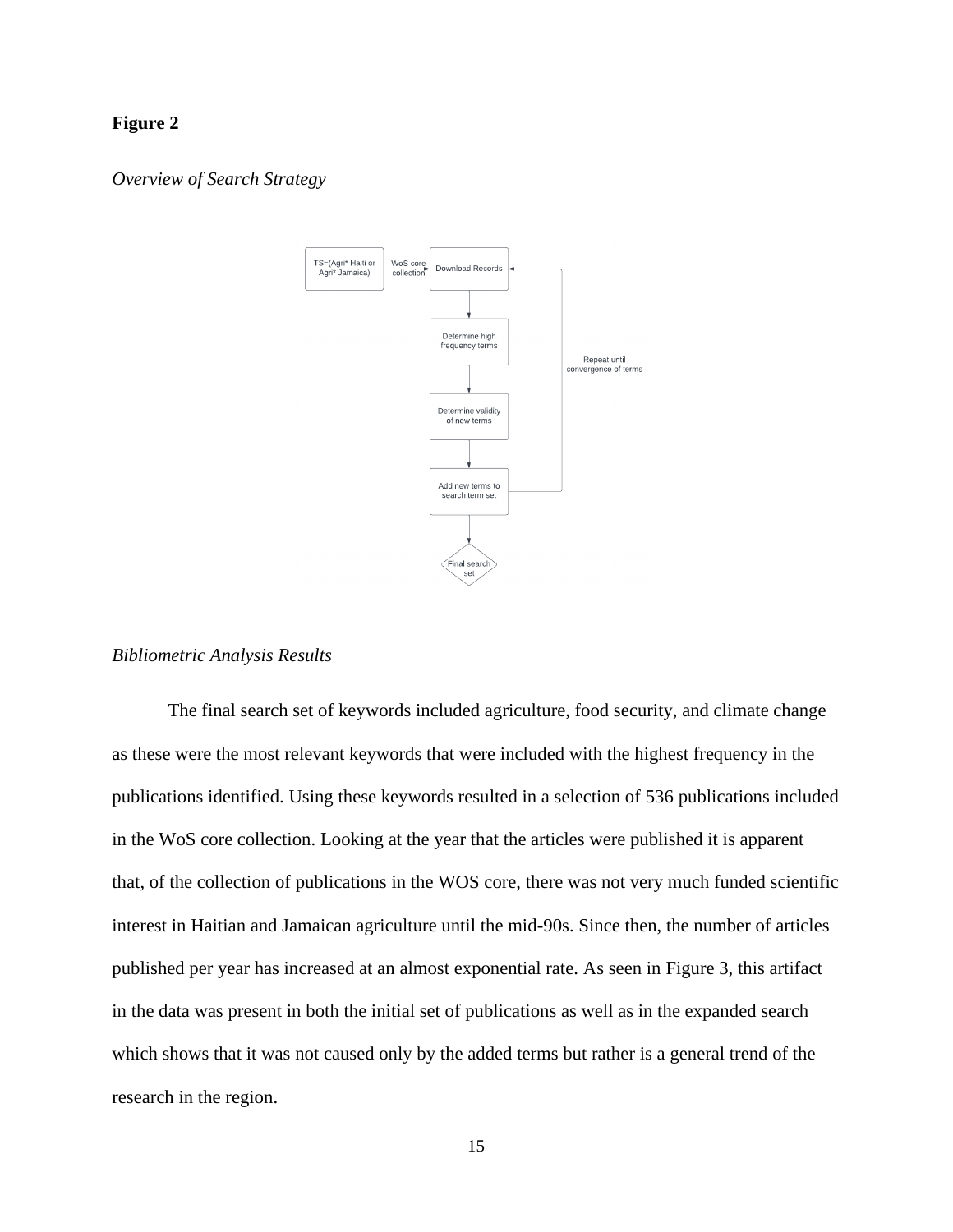# **Figure 2**

#### *Overview of Search Strategy*



#### *Bibliometric Analysis Results*

The final search set of keywords included agriculture, food security, and climate change as these were the most relevant keywords that were included with the highest frequency in the publications identified. Using these keywords resulted in a selection of 536 publications included in the WoS core collection. Looking at the year that the articles were published it is apparent that, of the collection of publications in the WOS core, there was not very much funded scientific interest in Haitian and Jamaican agriculture until the mid-90s. Since then, the number of articles published per year has increased at an almost exponential rate. As seen in Figure 3, this artifact in the data was present in both the initial set of publications as well as in the expanded search which shows that it was not caused only by the added terms but rather is a general trend of the research in the region.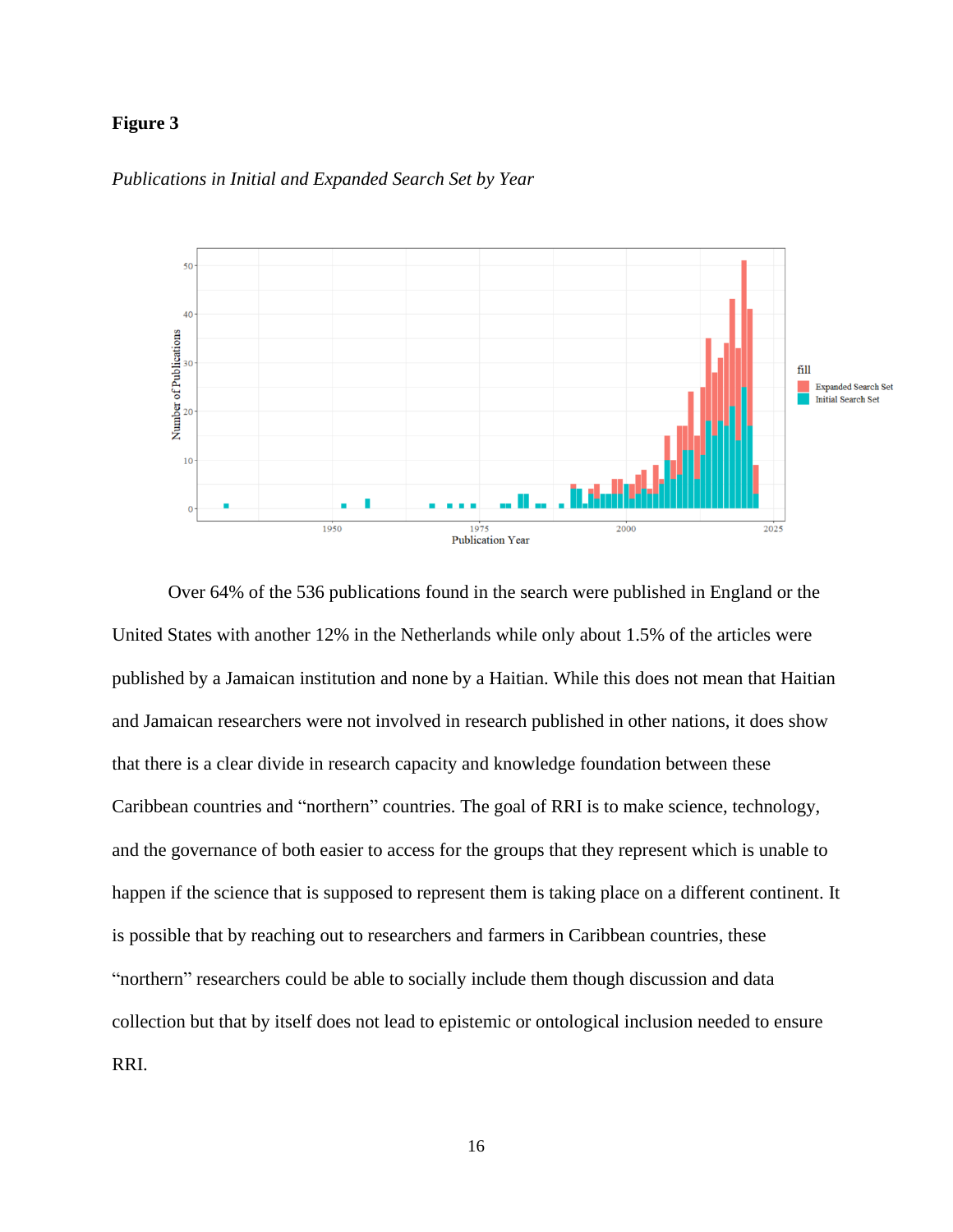# **Figure 3**



# *Publications in Initial and Expanded Search Set by Year*

Over 64% of the 536 publications found in the search were published in England or the United States with another 12% in the Netherlands while only about 1.5% of the articles were published by a Jamaican institution and none by a Haitian. While this does not mean that Haitian and Jamaican researchers were not involved in research published in other nations, it does show that there is a clear divide in research capacity and knowledge foundation between these Caribbean countries and "northern" countries. The goal of RRI is to make science, technology, and the governance of both easier to access for the groups that they represent which is unable to happen if the science that is supposed to represent them is taking place on a different continent. It is possible that by reaching out to researchers and farmers in Caribbean countries, these "northern" researchers could be able to socially include them though discussion and data collection but that by itself does not lead to epistemic or ontological inclusion needed to ensure RRI.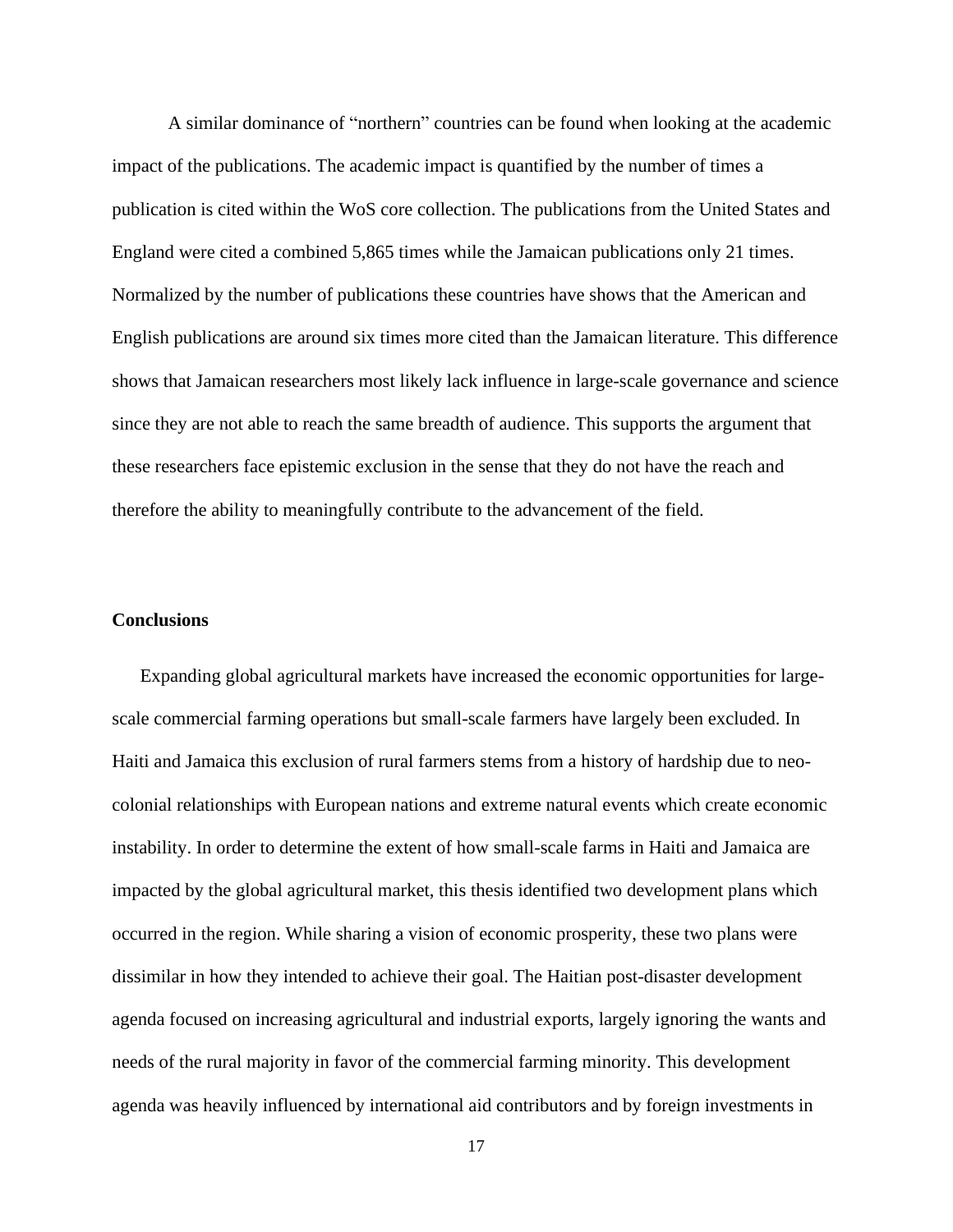A similar dominance of "northern" countries can be found when looking at the academic impact of the publications. The academic impact is quantified by the number of times a publication is cited within the WoS core collection. The publications from the United States and England were cited a combined 5,865 times while the Jamaican publications only 21 times. Normalized by the number of publications these countries have shows that the American and English publications are around six times more cited than the Jamaican literature. This difference shows that Jamaican researchers most likely lack influence in large-scale governance and science since they are not able to reach the same breadth of audience. This supports the argument that these researchers face epistemic exclusion in the sense that they do not have the reach and therefore the ability to meaningfully contribute to the advancement of the field.

# **Conclusions**

Expanding global agricultural markets have increased the economic opportunities for largescale commercial farming operations but small-scale farmers have largely been excluded. In Haiti and Jamaica this exclusion of rural farmers stems from a history of hardship due to neocolonial relationships with European nations and extreme natural events which create economic instability. In order to determine the extent of how small-scale farms in Haiti and Jamaica are impacted by the global agricultural market, this thesis identified two development plans which occurred in the region. While sharing a vision of economic prosperity, these two plans were dissimilar in how they intended to achieve their goal. The Haitian post-disaster development agenda focused on increasing agricultural and industrial exports, largely ignoring the wants and needs of the rural majority in favor of the commercial farming minority. This development agenda was heavily influenced by international aid contributors and by foreign investments in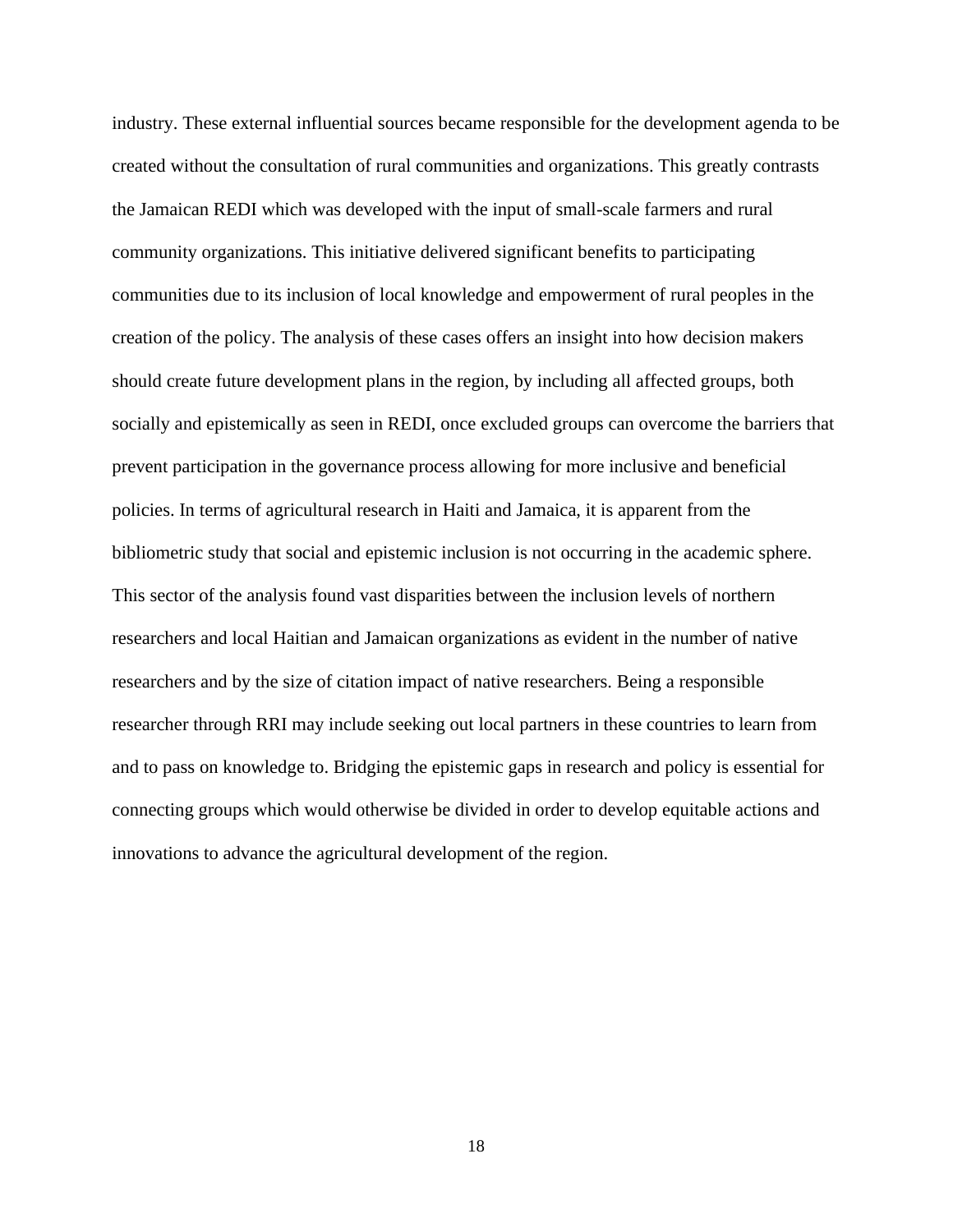industry. These external influential sources became responsible for the development agenda to be created without the consultation of rural communities and organizations. This greatly contrasts the Jamaican REDI which was developed with the input of small-scale farmers and rural community organizations. This initiative delivered significant benefits to participating communities due to its inclusion of local knowledge and empowerment of rural peoples in the creation of the policy. The analysis of these cases offers an insight into how decision makers should create future development plans in the region, by including all affected groups, both socially and epistemically as seen in REDI, once excluded groups can overcome the barriers that prevent participation in the governance process allowing for more inclusive and beneficial policies. In terms of agricultural research in Haiti and Jamaica, it is apparent from the bibliometric study that social and epistemic inclusion is not occurring in the academic sphere. This sector of the analysis found vast disparities between the inclusion levels of northern researchers and local Haitian and Jamaican organizations as evident in the number of native researchers and by the size of citation impact of native researchers. Being a responsible researcher through RRI may include seeking out local partners in these countries to learn from and to pass on knowledge to. Bridging the epistemic gaps in research and policy is essential for connecting groups which would otherwise be divided in order to develop equitable actions and innovations to advance the agricultural development of the region.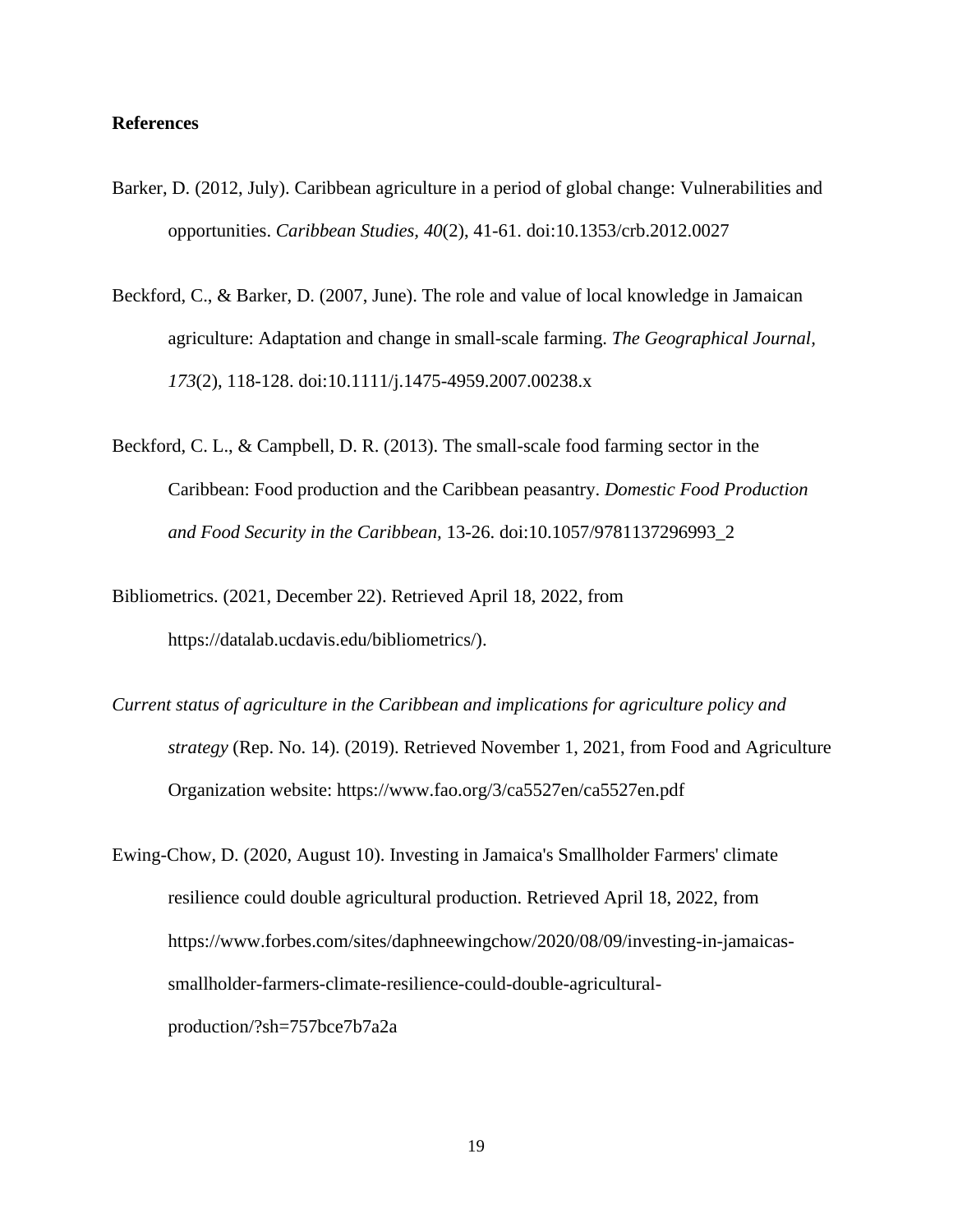# **References**

- Barker, D. (2012, July). Caribbean agriculture in a period of global change: Vulnerabilities and opportunities. *Caribbean Studies, 40*(2), 41-61. doi:10.1353/crb.2012.0027
- Beckford, C., & Barker, D. (2007, June). The role and value of local knowledge in Jamaican agriculture: Adaptation and change in small-scale farming. *The Geographical Journal, 173*(2), 118-128. doi:10.1111/j.1475-4959.2007.00238.x
- Beckford, C. L., & Campbell, D. R. (2013). The small-scale food farming sector in the Caribbean: Food production and the Caribbean peasantry. *Domestic Food Production and Food Security in the Caribbean,* 13-26. doi:10.1057/9781137296993\_2
- Bibliometrics. (2021, December 22). Retrieved April 18, 2022, from https://datalab.ucdavis.edu/bibliometrics/).
- *Current status of agriculture in the Caribbean and implications for agriculture policy and strategy* (Rep. No. 14). (2019). Retrieved November 1, 2021, from Food and Agriculture Organization website: https://www.fao.org/3/ca5527en/ca5527en.pdf
- Ewing-Chow, D. (2020, August 10). Investing in Jamaica's Smallholder Farmers' climate resilience could double agricultural production. Retrieved April 18, 2022, from https://www.forbes.com/sites/daphneewingchow/2020/08/09/investing-in-jamaicassmallholder-farmers-climate-resilience-could-double-agriculturalproduction/?sh=757bce7b7a2a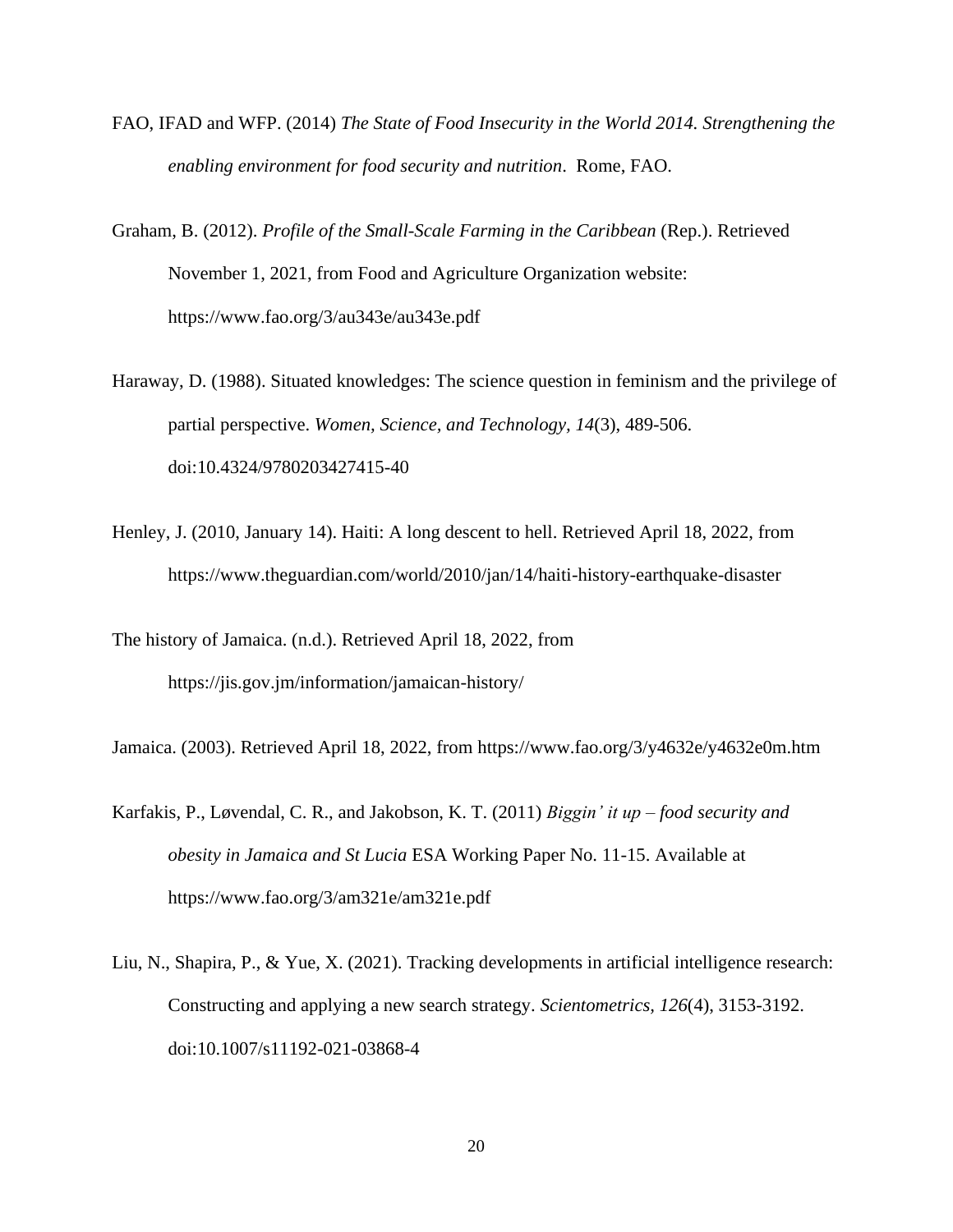- FAO, IFAD and WFP. (2014) *The State of Food Insecurity in the World 2014. Strengthening the enabling environment for food security and nutrition*. Rome, FAO.
- Graham, B. (2012). *Profile of the Small-Scale Farming in the Caribbean* (Rep.). Retrieved November 1, 2021, from Food and Agriculture Organization website: https://www.fao.org/3/au343e/au343e.pdf
- Haraway, D. (1988). Situated knowledges: The science question in feminism and the privilege of partial perspective. *Women, Science, and Technology, 14*(3), 489-506. doi:10.4324/9780203427415-40
- Henley, J. (2010, January 14). Haiti: A long descent to hell. Retrieved April 18, 2022, from https://www.theguardian.com/world/2010/jan/14/haiti-history-earthquake-disaster
- The history of Jamaica. (n.d.). Retrieved April 18, 2022, from https://jis.gov.jm/information/jamaican-history/

Jamaica. (2003). Retrieved April 18, 2022, from https://www.fao.org/3/y4632e/y4632e0m.htm

- Karfakis, P., Løvendal, C. R., and Jakobson, K. T. (2011) *Biggin' it up – food security and obesity in Jamaica and St Lucia* ESA Working Paper No. 11-15. Available at https://www.fao.org/3/am321e/am321e.pdf
- Liu, N., Shapira, P., & Yue, X. (2021). Tracking developments in artificial intelligence research: Constructing and applying a new search strategy. *Scientometrics, 126*(4), 3153-3192. doi:10.1007/s11192-021-03868-4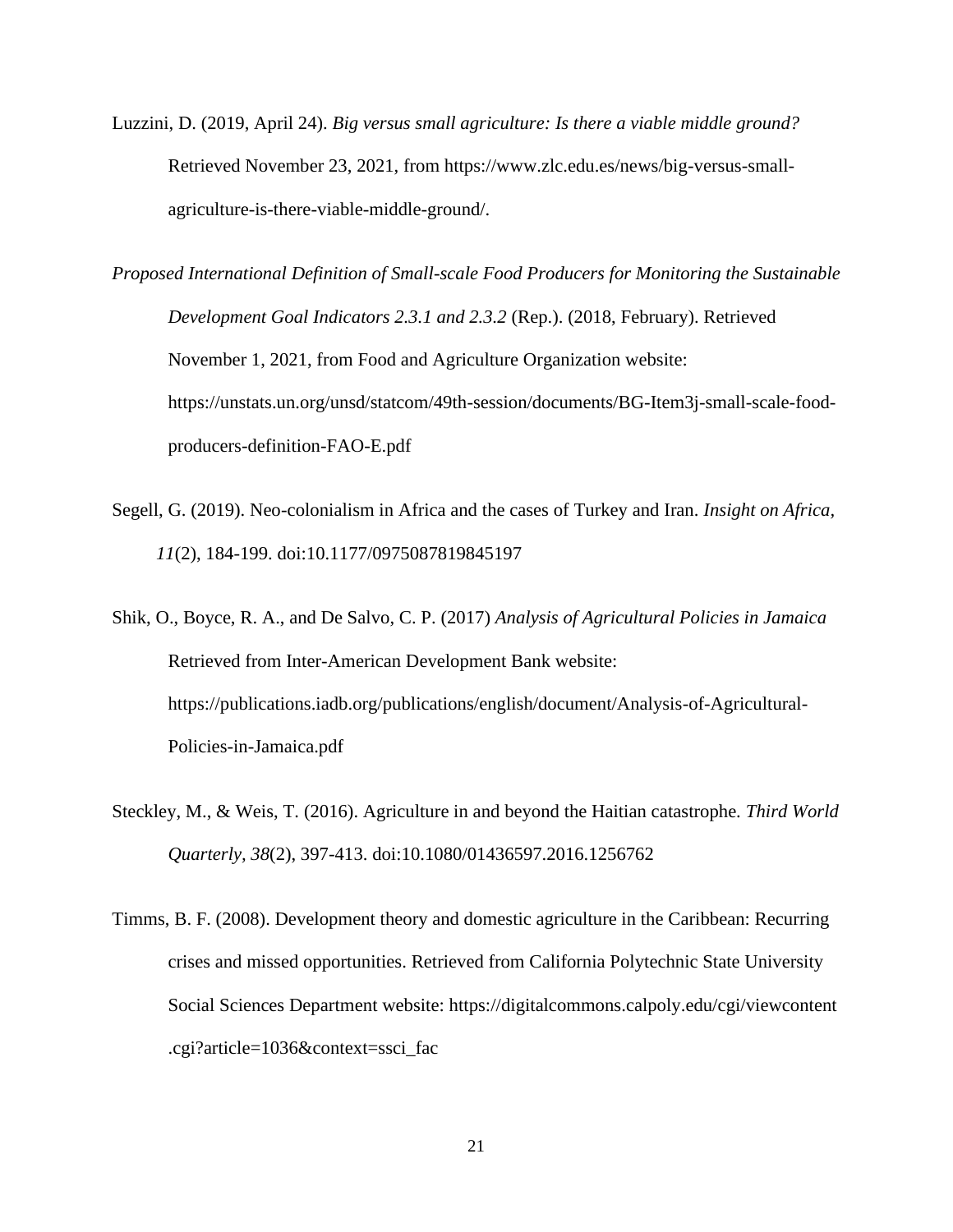- Luzzini, D. (2019, April 24). *Big versus small agriculture: Is there a viable middle ground?* Retrieved November 23, 2021, from https://www.zlc.edu.es/news/big-versus-smallagriculture-is-there-viable-middle-ground/.
- *Proposed International Definition of Small-scale Food Producers for Monitoring the Sustainable Development Goal Indicators 2.3.1 and 2.3.2* (Rep.). (2018, February). Retrieved November 1, 2021, from Food and Agriculture Organization website: https://unstats.un.org/unsd/statcom/49th-session/documents/BG-Item3j-small-scale-foodproducers-definition-FAO-E.pdf
- Segell, G. (2019). Neo-colonialism in Africa and the cases of Turkey and Iran. *Insight on Africa, 11*(2), 184-199. doi:10.1177/0975087819845197
- Shik, O., Boyce, R. A., and De Salvo, C. P. (2017) *Analysis of Agricultural Policies in Jamaica*  Retrieved from Inter-American Development Bank website: https://publications.iadb.org/publications/english/document/Analysis-of-Agricultural-Policies-in-Jamaica.pdf
- Steckley, M., & Weis, T. (2016). Agriculture in and beyond the Haitian catastrophe. *Third World Quarterly, 38*(2), 397-413. doi:10.1080/01436597.2016.1256762
- Timms, B. F. (2008). Development theory and domestic agriculture in the Caribbean: Recurring crises and missed opportunities. Retrieved from California Polytechnic State University Social Sciences Department website: https://digitalcommons.calpoly.edu/cgi/viewcontent .cgi?article=1036&context=ssci\_fac